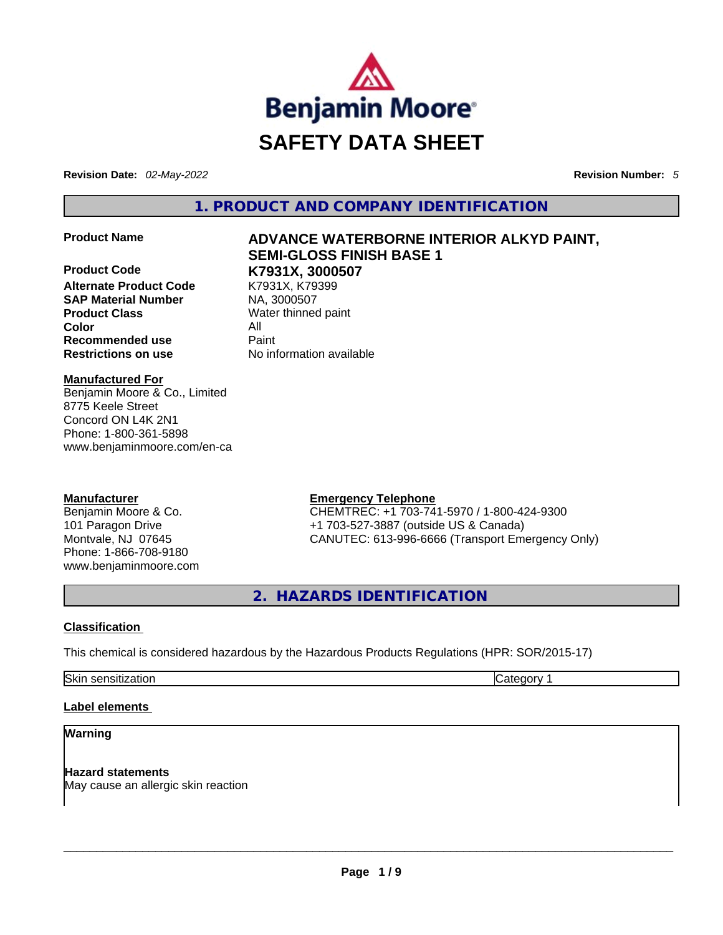

**Revision Date:** *02-May-2022* **Revision Number:** *5*

**1. PRODUCT AND COMPANY IDENTIFICATION** 

**Product Code K7931X, 3000507 Alternate Product Code SAP Material Number MA, 3000507 Product Class Water thinned paint Color** All **Recommended use** Paint<br> **Restrictions on use** Mo information available **Restrictions** on use

# **Product Name ADVANCE WATERBORNE INTERIOR ALKYD PAINT, SEMI-GLOSS FINISH BASE 1**

#### **Manufactured For**

Benjamin Moore & Co., Limited 8775 Keele Street Concord ON L4K 2N1 Phone: 1-800-361-5898 www.benjaminmoore.com/en-ca

#### **Manufacturer**

Benjamin Moore & Co. 101 Paragon Drive Montvale, NJ 07645 Phone: 1-866-708-9180 www.benjaminmoore.com

#### **Emergency Telephone**

CHEMTREC: +1 703-741-5970 / 1-800-424-9300 +1 703-527-3887 (outside US & Canada) CANUTEC: 613-996-6666 (Transport Emergency Only)

**2. HAZARDS IDENTIFICATION** 

#### **Classification**

This chemical is considered hazardous by the Hazardous Products Regulations (HPR: SOR/2015-17)

Skin sensitization **Category 1** and Category 1

#### **Label elements**

#### **Warning**

**Hazard statements** May cause an allergic skin reaction \_\_\_\_\_\_\_\_\_\_\_\_\_\_\_\_\_\_\_\_\_\_\_\_\_\_\_\_\_\_\_\_\_\_\_\_\_\_\_\_\_\_\_\_\_\_\_\_\_\_\_\_\_\_\_\_\_\_\_\_\_\_\_\_\_\_\_\_\_\_\_\_\_\_\_\_\_\_\_\_\_\_\_\_\_\_\_\_\_\_\_\_\_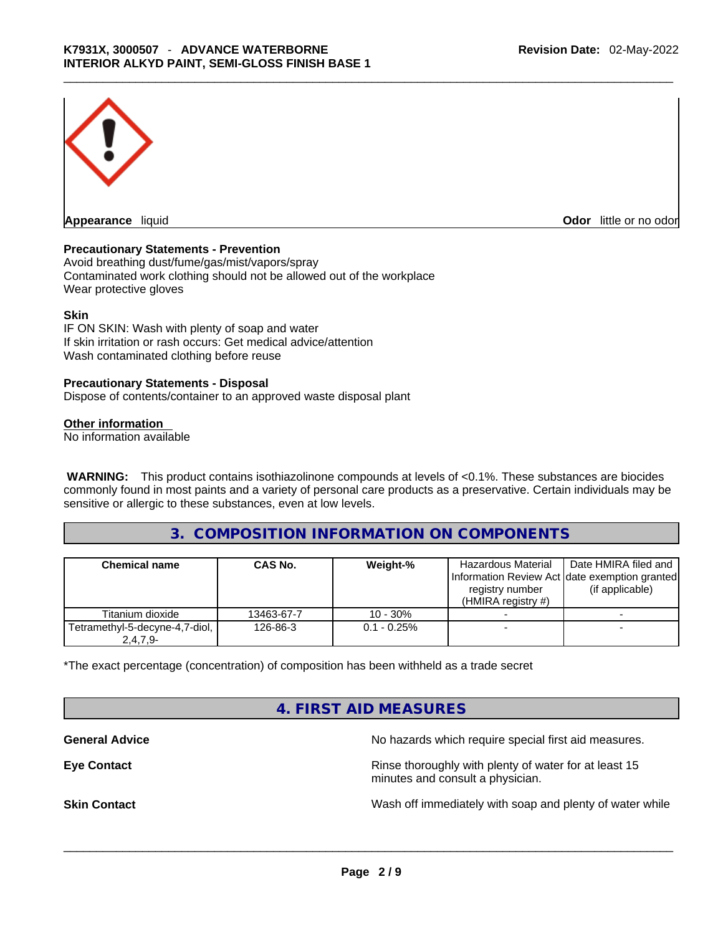

**Appearance** liquid **Odor 11** and **Odor 11** and **Odor 11** and **Odor 11** and **Odor 11** and **Odor** 11 and **Odor** 11 and **Odor** 11 and **Odor** 11 and **Odor** 11 and **Odor** 11 and **Odor** 11 and **Odor** 11 and **Odor** 11 and **Odor** 

#### **Precautionary Statements - Prevention**

Avoid breathing dust/fume/gas/mist/vapors/spray Contaminated work clothing should not be allowed out of the workplace Wear protective gloves

#### **Skin**

IF ON SKIN: Wash with plenty of soap and water If skin irritation or rash occurs: Get medical advice/attention Wash contaminated clothing before reuse

#### **Precautionary Statements - Disposal**

Dispose of contents/container to an approved waste disposal plant

#### **Other information**

No information available

**WARNING:** This product contains isothiazolinone compounds at levels of <0.1%. These substances are biocides commonly found in most paints and a variety of personal care products as a preservative. Certain individuals may be sensitive or allergic to these substances, even at low levels.

#### **3. COMPOSITION INFORMATION ON COMPONENTS**

| <b>Chemical name</b>                         | <b>CAS No.</b> | Weight-%       | <b>Hazardous Material</b><br>Information Review Act date exemption granted<br>registry number<br>$(HMIRA$ registry #) | Date HMIRA filed and<br>(if applicable) |
|----------------------------------------------|----------------|----------------|-----------------------------------------------------------------------------------------------------------------------|-----------------------------------------|
| Titanium dioxide                             | 13463-67-7     | $10 - 30%$     |                                                                                                                       |                                         |
| Tetramethyl-5-decyne-4,7-diol,<br>$2,4,7,9-$ | 126-86-3       | $0.1 - 0.25\%$ |                                                                                                                       |                                         |

\*The exact percentage (concentration) of composition has been withheld as a trade secret

# **4. FIRST AID MEASURES**

**General Advice General Advice No hazards which require special first aid measures.** 

**Eye Contact <b>Rinse** thoroughly with plenty of water for at least 15 minutes and consult a physician.

**Skin Contact Number 2012 Wash off immediately with soap and plenty of water while**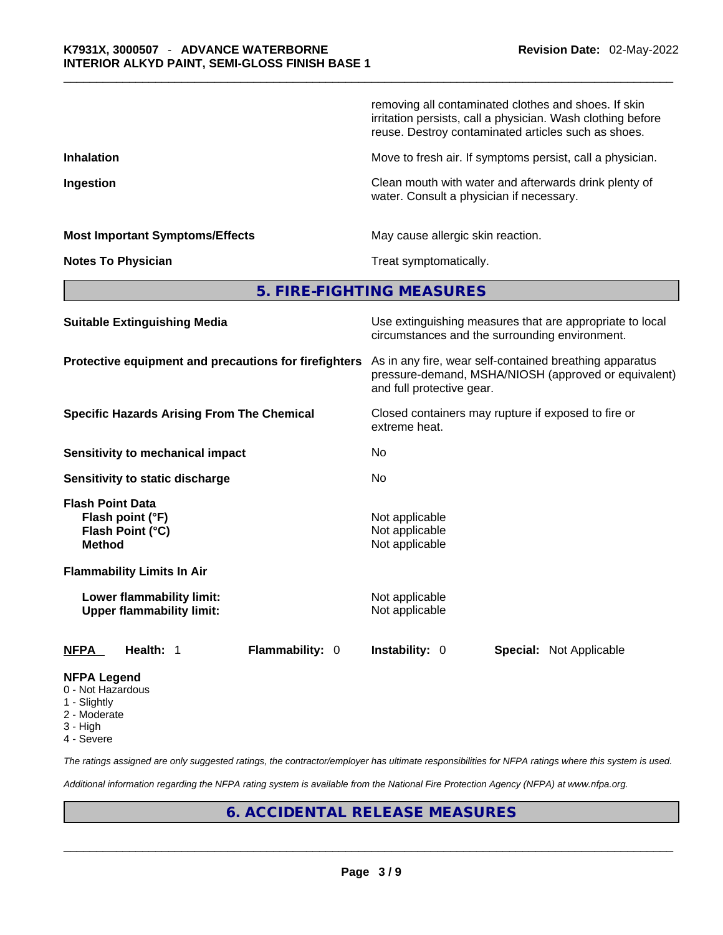|                                                                           | removing all contaminated clothes and shoes. If skin<br>irritation persists, call a physician. Wash clothing before<br>reuse. Destroy contaminated articles such as shoes. |  |  |  |
|---------------------------------------------------------------------------|----------------------------------------------------------------------------------------------------------------------------------------------------------------------------|--|--|--|
| <b>Inhalation</b>                                                         | Move to fresh air. If symptoms persist, call a physician.<br>Clean mouth with water and afterwards drink plenty of<br>water. Consult a physician if necessary.             |  |  |  |
| Ingestion                                                                 |                                                                                                                                                                            |  |  |  |
| <b>Most Important Symptoms/Effects</b>                                    | May cause allergic skin reaction.                                                                                                                                          |  |  |  |
| <b>Notes To Physician</b>                                                 | Treat symptomatically.                                                                                                                                                     |  |  |  |
|                                                                           | 5. FIRE-FIGHTING MEASURES                                                                                                                                                  |  |  |  |
| <b>Suitable Extinguishing Media</b>                                       | Use extinguishing measures that are appropriate to local<br>circumstances and the surrounding environment.                                                                 |  |  |  |
| Protective equipment and precautions for firefighters                     | As in any fire, wear self-contained breathing apparatus<br>pressure-demand, MSHA/NIOSH (approved or equivalent)<br>and full protective gear.                               |  |  |  |
| <b>Specific Hazards Arising From The Chemical</b>                         | Closed containers may rupture if exposed to fire or<br>extreme heat.                                                                                                       |  |  |  |
| <b>Sensitivity to mechanical impact</b>                                   | No                                                                                                                                                                         |  |  |  |
| Sensitivity to static discharge                                           | No                                                                                                                                                                         |  |  |  |
| Flash Point Data<br>Flash point (°F)<br>Flash Point (°C)<br><b>Method</b> | Not applicable<br>Not applicable<br>Not applicable                                                                                                                         |  |  |  |
| <b>Flammability Limits In Air</b>                                         |                                                                                                                                                                            |  |  |  |
| Lower flammability limit:<br><b>Upper flammability limit:</b>             | Not applicable<br>Not applicable                                                                                                                                           |  |  |  |
| NFPA<br>Health: 1<br>Flammability: 0                                      | Instability: 0<br><b>Special: Not Applicable</b>                                                                                                                           |  |  |  |
| <b>NFPA Legend</b><br>0 - Not Hazardous                                   |                                                                                                                                                                            |  |  |  |

- 1 Slightly
- 2 Moderate
- 3 High
- 4 Severe

*The ratings assigned are only suggested ratings, the contractor/employer has ultimate responsibilities for NFPA ratings where this system is used.* 

*Additional information regarding the NFPA rating system is available from the National Fire Protection Agency (NFPA) at www.nfpa.org.* 

# **6. ACCIDENTAL RELEASE MEASURES**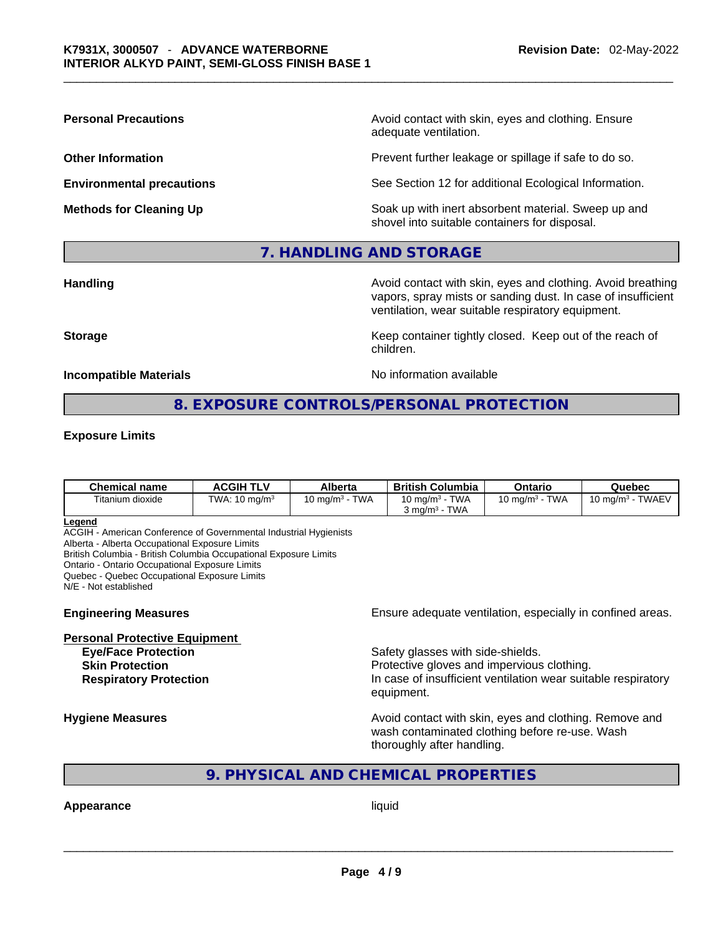**Personal Precautions Avoid contact with skin, eyes and clothing. Ensure Personal Precautions** adequate ventilation.

**Other Information Determined Intervention** Prevent further leakage or spillage if safe to do so.

**Environmental precautions** See Section 12 for additional Ecological Information.

**Methods for Cleaning Up Example 20 Soak** up with inert absorbent material. Sweep up and shovel into suitable containers for disposal.

#### **7. HANDLING AND STORAGE**

**Handling Handling Avoid contact with skin, eyes and clothing. Avoid breathing Handling A** vapors, spray mists or sanding dust. In case of insufficient ventilation, wear suitable respiratory equipment.

**Storage Example 20 Keep container tightly closed. Keep out of the reach of Keep Container** tightly closed. Keep out of the reach of

**Incompatible Materials** Material Materials Allowsky Monometric Notation available

#### **8. EXPOSURE CONTROLS/PERSONAL PROTECTION**

children.

#### **Exposure Limits**

| Chemical name    | <b>ACGIH TLV</b>         | Alberta                            | <b>British Columbia</b>                 | Ontario                         | Quebec              |
|------------------|--------------------------|------------------------------------|-----------------------------------------|---------------------------------|---------------------|
| Titanium dioxide | TWA: $10 \text{ mg/m}^3$ | <b>TWA</b><br>10 mg/m <sup>3</sup> | 10 mg/m $3$ - TWA<br>TWA<br>კ ma/mª - T | <b>TWA</b><br>10 mg/m $3 \cdot$ | 10 mg/m $3$ - TWAEV |

#### **Legend**

ACGIH - American Conference of Governmental Industrial Hygienists

Alberta - Alberta Occupational Exposure Limits

British Columbia - British Columbia Occupational Exposure Limits

Ontario - Ontario Occupational Exposure Limits

Quebec - Quebec Occupational Exposure Limits

N/E - Not established

#### **Personal Protective Equipment**

**Engineering Measures Ensure** Ensure adequate ventilation, especially in confined areas.

**Eye/Face Protection Safety glasses with side-shields. Skin Protection Protection Protective gloves and impervious clothing. Respiratory Protection In case of insufficient ventilation wear suitable respiratory** equipment.

**Hygiene Measures Avoid contact with skin, eyes and clothing. Remove and Avoid contact with skin, eyes and clothing. Remove and Avoid contact with skin, eyes and clothing. Remove and** wash contaminated clothing before re-use. Wash thoroughly after handling.

## **9. PHYSICAL AND CHEMICAL PROPERTIES**

# **Appearance** liquid \_\_\_\_\_\_\_\_\_\_\_\_\_\_\_\_\_\_\_\_\_\_\_\_\_\_\_\_\_\_\_\_\_\_\_\_\_\_\_\_\_\_\_\_\_\_\_\_\_\_\_\_\_\_\_\_\_\_\_\_\_\_\_\_\_\_\_\_\_\_\_\_\_\_\_\_\_\_\_\_\_\_\_\_\_\_\_\_\_\_\_\_\_

**Page 4 / 9**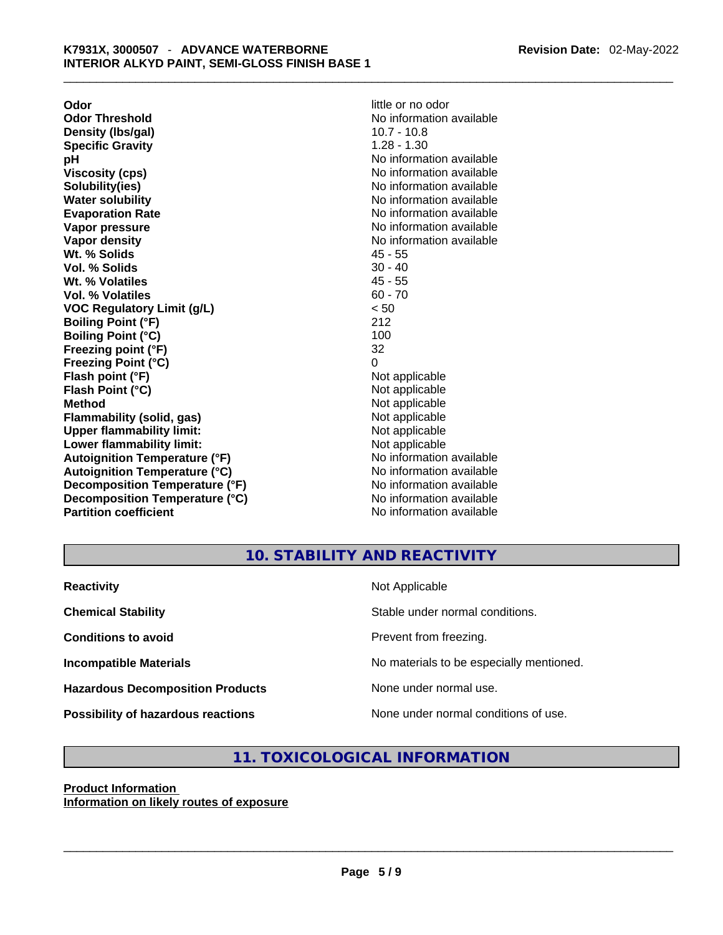**Odor little or no odor Odor Threshold No information available No information available Density (lbs/gal)** 10.7 - 10.8 **Specific Gravity** 1.28 - 1.30 **pH bH** *No* information available **Viscosity (cps) No information available No information available Solubility(ies)** No information available in the solution of the solution of the solution available in the solution of the solution of the solution of the solution of the solution of the solution of the solution of the so **Water solubility Water Solubility**<br> **Evaporation Rate** Moinformation available<br>
No information available **Vapor pressure**  No information available **No information** available **Vapor density**<br> **We Solids**<br>
We Solid Wi, % Solids
2018 Wt. % Solids **Vol. % Solids** 30 - 40 **Wt. % Volatiles** 45 - 55 **Vol. % Volatiles** 60 - 70 **VOC Regulatory Limit (g/L)** < 50 **Boiling Point (°F)** 212 **Boiling Point (°C)** 100 **Freezing point (°F)** 32 **Freezing Point (°C)** 0 **Flash point (°F)** Not applicable **Flash Point (°C)** Not applicable **Method** Not applicable **Flammability (solid, gas)** Not applicable **Upper flammability limit:** Not applicable **Lower flammability limit:** Not applicable **Autoignition Temperature (°F)** No information available **Autoignition Temperature (°C)** No information available **Decomposition Temperature (°F)** No information available **Decomposition Temperature (°C)** No information available **Partition coefficient** No information available

**Evaporation Rate** No information available

# **10. STABILITY AND REACTIVITY**

| <b>Reactivity</b>                       | Not Applicable                           |
|-----------------------------------------|------------------------------------------|
| <b>Chemical Stability</b>               | Stable under normal conditions.          |
| <b>Conditions to avoid</b>              | Prevent from freezing.                   |
| <b>Incompatible Materials</b>           | No materials to be especially mentioned. |
| <b>Hazardous Decomposition Products</b> | None under normal use.                   |
| Possibility of hazardous reactions      | None under normal conditions of use.     |

# **11. TOXICOLOGICAL INFORMATION**

#### **Product Information Information on likely routes of exposure**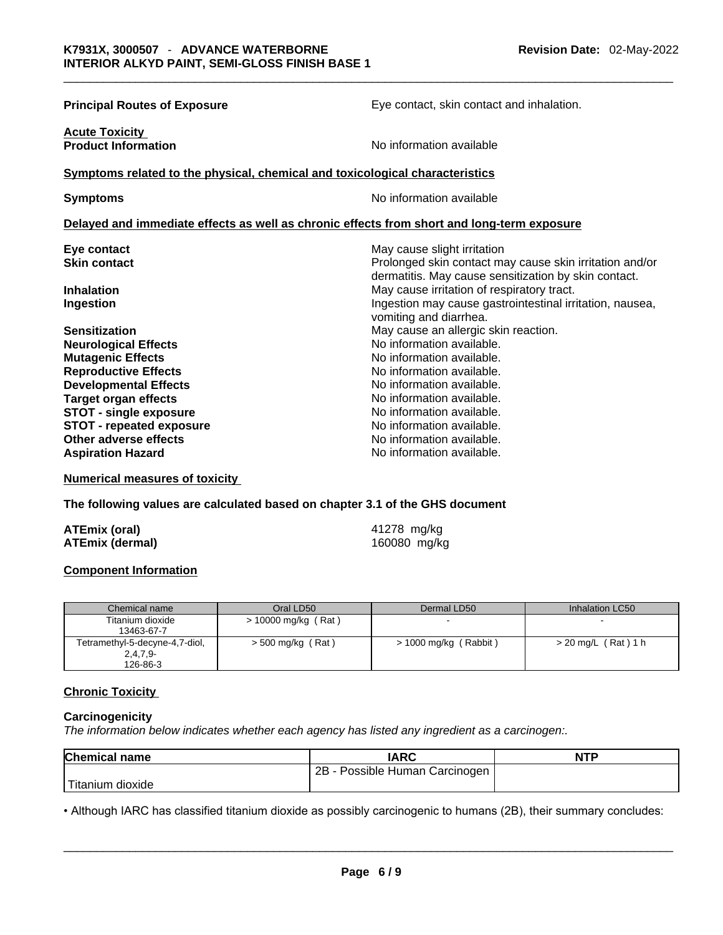| <b>Principal Routes of Exposure</b>                                                     | Eye contact, skin contact and inhalation.                                                                                                      |
|-----------------------------------------------------------------------------------------|------------------------------------------------------------------------------------------------------------------------------------------------|
| <b>Acute Toxicity</b><br><b>Product Information</b>                                     | No information available                                                                                                                       |
| Symptoms related to the physical, chemical and toxicological characteristics            |                                                                                                                                                |
| <b>Symptoms</b>                                                                         | No information available                                                                                                                       |
|                                                                                         | Delayed and immediate effects as well as chronic effects from short and long-term exposure                                                     |
| Eye contact<br><b>Skin contact</b>                                                      | May cause slight irritation<br>Prolonged skin contact may cause skin irritation and/or<br>dermatitis. May cause sensitization by skin contact. |
| <b>Inhalation</b><br>Ingestion                                                          | May cause irritation of respiratory tract.<br>Ingestion may cause gastrointestinal irritation, nausea,<br>vomiting and diarrhea.               |
| <b>Sensitization</b><br><b>Neurological Effects</b>                                     | May cause an allergic skin reaction.<br>No information available.                                                                              |
| <b>Mutagenic Effects</b><br><b>Reproductive Effects</b><br><b>Developmental Effects</b> | No information available.<br>No information available.<br>No information available.                                                            |
| <b>Target organ effects</b><br><b>STOT - single exposure</b>                            | No information available.<br>No information available.                                                                                         |
| <b>STOT - repeated exposure</b><br>Other adverse effects                                | No information available.<br>No information available.                                                                                         |
| <b>Aspiration Hazard</b>                                                                | No information available.                                                                                                                      |

**Numerical measures of toxicity**

**The following values are calculated based on chapter 3.1 of the GHS document**

| ATEmix (oral)          |  |
|------------------------|--|
| <b>ATEmix (dermal)</b> |  |

**ATEmix (oral)** 41278 mg/kg **(dermal)** 160080 mg/kg

#### **Component Information**

| Chemical name                  | Oral LD50             | Dermal LD50           | Inhalation LC50       |
|--------------------------------|-----------------------|-----------------------|-----------------------|
| Titanium dioxide               | $> 10000$ mg/kg (Rat) | -                     |                       |
| 13463-67-7                     |                       |                       |                       |
| Tetramethyl-5-decyne-4,7-diol, | > 500 mg/kg (Rat)     | > 1000 mg/kg (Rabbit) | $>$ 20 mg/L (Rat) 1 h |
| $2,4,7,9-$                     |                       |                       |                       |
| 126-86-3                       |                       |                       |                       |

#### **Chronic Toxicity**

#### **Carcinogenicity**

*The information below indicates whether each agency has listed any ingredient as a carcinogen:.* 

| <b>Chemical name</b>                                                                                              | <b>IARC</b>                    | <b>NTP</b> |
|-------------------------------------------------------------------------------------------------------------------|--------------------------------|------------|
|                                                                                                                   | 2B - Possible Human Carcinogen |            |
| Titanium dioxide                                                                                                  |                                |            |
| • Although IARC has classified titanium dioxide as possibly carcinogenic to humans (2B), their summary concludes: |                                |            |

• Although IARC has classified titanium dioxide as possibly carcinogenic to humans (2B), their summary concludes: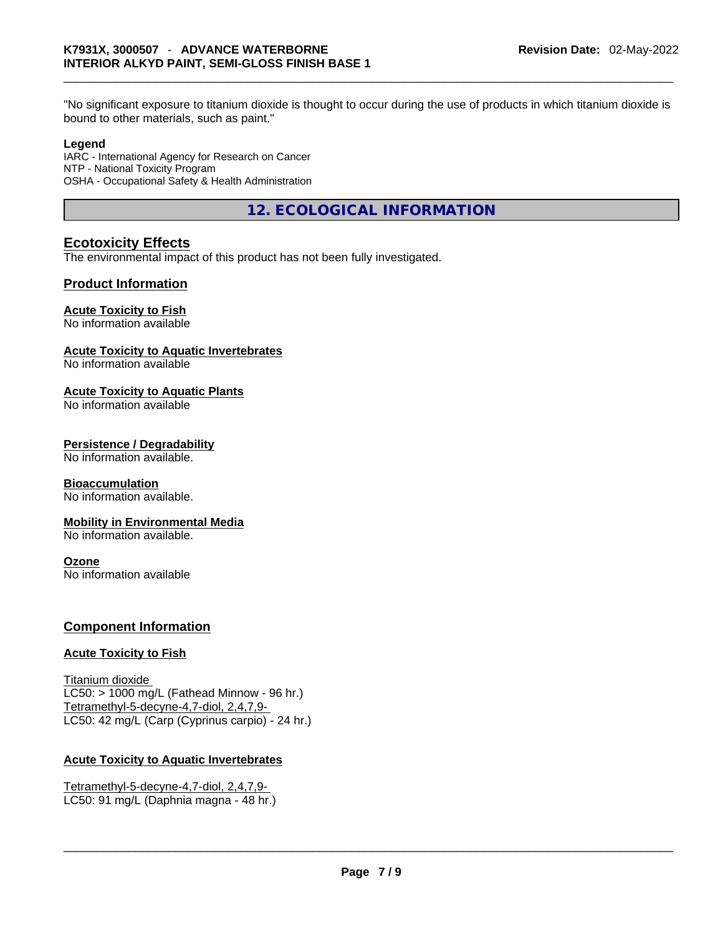bound to other materials, such as paint."

#### **Legend**

IARC - International Agency for Research on Cancer NTP - National Toxicity Program OSHA - Occupational Safety & Health Administration

**12. ECOLOGICAL INFORMATION** 

## **Ecotoxicity Effects**

The environmental impact of this product has not been fully investigated.

#### **Product Information**

### **Acute Toxicity to Fish**

No information available

#### **Acute Toxicity to Aquatic Invertebrates**

No information available

### **Acute Toxicity to Aquatic Plants**

No information available

#### **Persistence / Degradability**

No information available.

#### **Bioaccumulation**

No information available.

#### **Mobility in Environmental Media**

No information available.

#### **Ozone**

No information available

#### **Component Information**

#### **Acute Toxicity to Fish**

Titanium dioxide  $LC50:$  > 1000 mg/L (Fathead Minnow - 96 hr.) Tetramethyl-5-decyne-4,7-diol, 2,4,7,9- LC50: 42 mg/L (Carp (Cyprinus carpio) - 24 hr.)

#### **Acute Toxicity to Aquatic Invertebrates**

Tetramethyl-5-decyne-4,7-diol, 2,4,7,9- LC50: 91 mg/L (Daphnia magna - 48 hr.)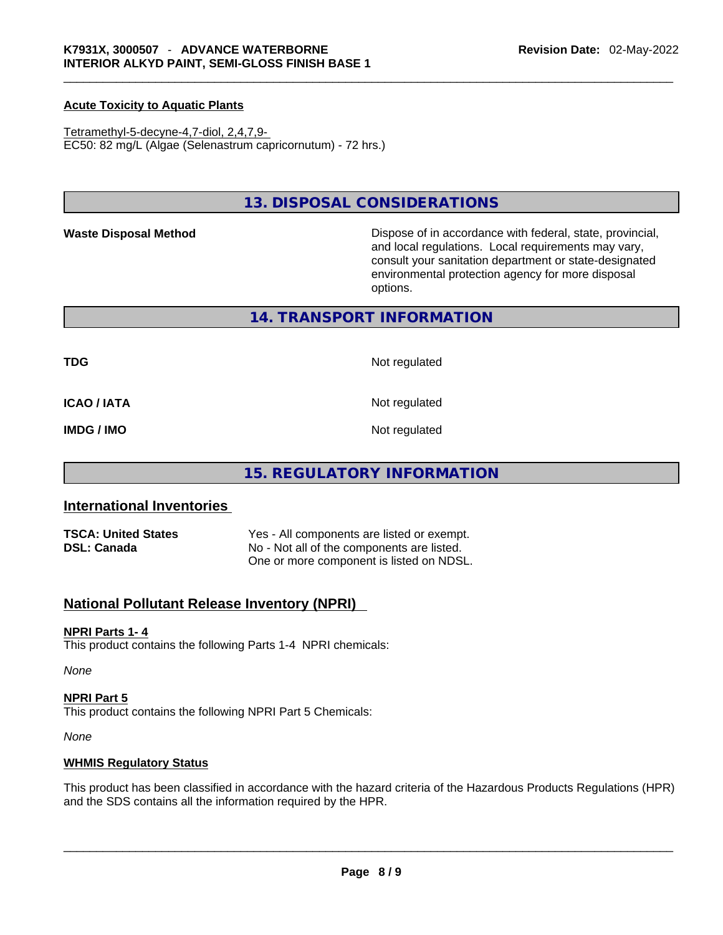#### **Acute Toxicity to Aquatic Plants**

Tetramethyl-5-decyne-4,7-diol, 2,4,7,9- EC50: 82 mg/L (Algae (Selenastrum capricornutum) - 72 hrs.)

#### **13. DISPOSAL CONSIDERATIONS**

Waste Disposal Method **Waste Disposal Method Dispose of in accordance with federal, state, provincial,** and local regulations. Local requirements may vary, consult your sanitation department or state-designated environmental protection agency for more disposal options.

#### **14. TRANSPORT INFORMATION**

**TDG** Not regulated

**ICAO / IATA** Not regulated

**IMDG / IMO** Not regulated

### **15. REGULATORY INFORMATION**

#### **International Inventories**

| <b>TSCA: United States</b> | Yes - All components are listed or exempt. |
|----------------------------|--------------------------------------------|
| <b>DSL: Canada</b>         | No - Not all of the components are listed. |
|                            | One or more component is listed on NDSL.   |

### **National Pollutant Release Inventory (NPRI)**

#### **NPRI Parts 1- 4**

This product contains the following Parts 1-4 NPRI chemicals:

*None*

#### **NPRI Part 5**

This product contains the following NPRI Part 5 Chemicals:

*None*

#### **WHMIS Regulatory Status**

This product has been classified in accordance with the hazard criteria of the Hazardous Products Regulations (HPR) and the SDS contains all the information required by the HPR. \_\_\_\_\_\_\_\_\_\_\_\_\_\_\_\_\_\_\_\_\_\_\_\_\_\_\_\_\_\_\_\_\_\_\_\_\_\_\_\_\_\_\_\_\_\_\_\_\_\_\_\_\_\_\_\_\_\_\_\_\_\_\_\_\_\_\_\_\_\_\_\_\_\_\_\_\_\_\_\_\_\_\_\_\_\_\_\_\_\_\_\_\_